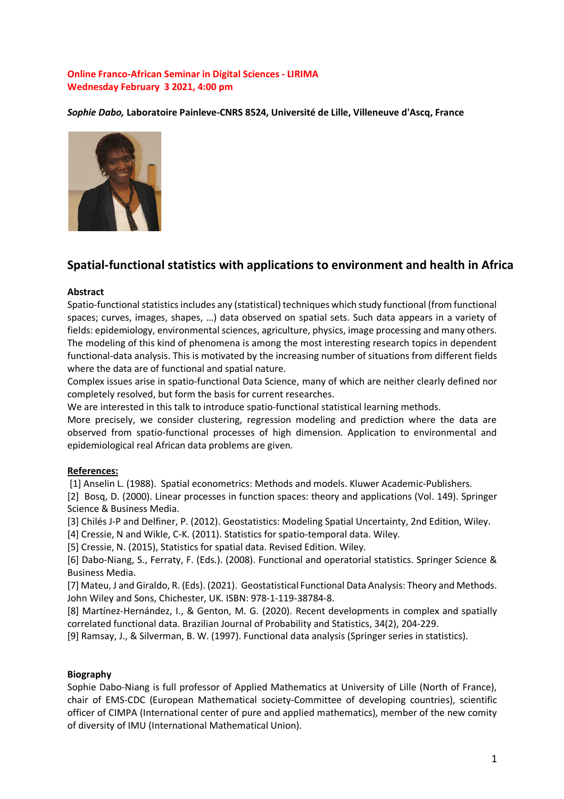## **Online Franco-African Seminar in Digital Sciences - LIRIMA Wednesday February 3 2021, 4:00 pm**

*Sophie Dabo,* **Laboratoire Painleve-CNRS 8524, Université de Lille, Villeneuve d'Ascq, France**



# **Spatial-functional statistics with applications to environment and health in Africa**

#### **Abstract**

Spatio-functional statistics includes any (statistical) techniques which study functional (from functional spaces; curves, images, shapes, …) data observed on spatial sets. Such data appears in a variety of fields: epidemiology, environmental sciences, agriculture, physics, image processing and many others. The modeling of this kind of phenomena is among the most interesting research topics in dependent functional-data analysis. This is motivated by the increasing number of situations from different fields where the data are of functional and spatial nature.

Complex issues arise in spatio-functional Data Science, many of which are neither clearly defined nor completely resolved, but form the basis for current researches.

We are interested in this talk to introduce spatio-functional statistical learning methods.

More precisely, we consider clustering, regression modeling and prediction where the data are observed from spatio-functional processes of high dimension. Application to environmental and epidemiological real African data problems are given.

## **References:**

[1] Anselin L. (1988). Spatial econometrics: Methods and models. Kluwer Academic-Publishers.

[2] Bosq, D. (2000). Linear processes in function spaces: theory and applications (Vol. 149). Springer Science & Business Media.

[3] Chilés J-P and Delfiner, P. (2012). Geostatistics: Modeling Spatial Uncertainty, 2nd Edition, Wiley.

[4] Cressie, N and Wikle, C-K. (2011). Statistics for spatio-temporal data. Wiley.

[5] Cressie, N. (2015), Statistics for spatial data. Revised Edition. Wiley.

[6] Dabo-Niang, S., Ferraty, F. (Eds.). (2008). Functional and operatorial statistics. Springer Science & Business Media.

[7] Mateu, J and Giraldo, R. (Eds). (2021). Geostatistical Functional Data Analysis: Theory and Methods. John Wiley and Sons, Chichester, UK. ISBN: 978-1-119-38784-8.

[8] Martínez-Hernández, I., & Genton, M. G. (2020). Recent developments in complex and spatially correlated functional data. Brazilian Journal of Probability and Statistics, 34(2), 204-229.

[9] Ramsay, J., & Silverman, B. W. (1997). Functional data analysis (Springer series in statistics).

## **Biography**

Sophie Dabo-Niang is full professor of Applied Mathematics at University of Lille (North of France), chair of EMS-CDC (European Mathematical society-Committee of developing countries), scientific officer of CIMPA (International center of pure and applied mathematics), member of the new comity of diversity of IMU (International Mathematical Union).